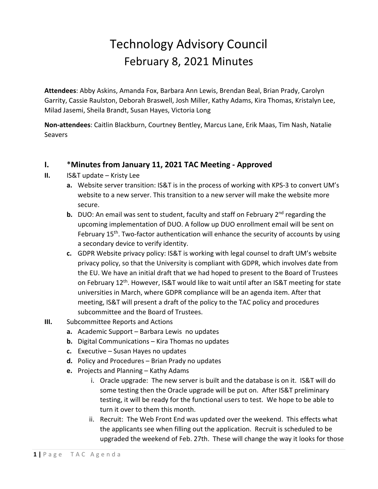## Technology Advisory Council February 8, 2021 Minutes

**Attendees**: Abby Askins, Amanda Fox, Barbara Ann Lewis, Brendan Beal, Brian Prady, Carolyn Garrity, Cassie Raulston, Deborah Braswell, Josh Miller, Kathy Adams, Kira Thomas, Kristalyn Lee, Milad Jasemi, Sheila Brandt, Susan Hayes, Victoria Long

**Non-attendees**: Caitlin Blackburn, Courtney Bentley, Marcus Lane, Erik Maas, Tim Nash, Natalie **Seavers** 

## **I.** \***Minutes from January 11, 2021 TAC Meeting - Approved**

- **II.** IS&T update Kristy Lee
	- **a.** Website server transition: IS&T is in the process of working with KPS-3 to convert UM's website to a new server. This transition to a new server will make the website more secure.
	- **b.** DUO: An email was sent to student, faculty and staff on February 2<sup>nd</sup> regarding the upcoming implementation of DUO. A follow up DUO enrollment email will be sent on February  $15<sup>th</sup>$ . Two-factor authentication will enhance the security of accounts by using a secondary device to verify identity.
	- **c.** GDPR Website privacy policy: IS&T is working with legal counsel to draft UM's website privacy policy, so that the University is compliant with GDPR, which involves date from the EU. We have an initial draft that we had hoped to present to the Board of Trustees on February 12<sup>th</sup>. However, IS&T would like to wait until after an IS&T meeting for state universities in March, where GDPR compliance will be an agenda item. After that meeting, IS&T will present a draft of the policy to the TAC policy and procedures subcommittee and the Board of Trustees.
- **III.** Subcommittee Reports and Actions
	- **a.** Academic Support Barbara Lewis no updates
	- **b.** Digital Communications Kira Thomas no updates
	- **c.** Executive Susan Hayes no updates
	- **d.** Policy and Procedures Brian Prady no updates
	- **e.** Projects and Planning Kathy Adams
		- i. Oracle upgrade: The new server is built and the database is on it. IS&T will do some testing then the Oracle upgrade will be put on. After IS&T preliminary testing, it will be ready for the functional users to test. We hope to be able to turn it over to them this month.
		- ii. Recruit: The Web Front End was updated over the weekend. This effects what the applicants see when filling out the application. Recruit is scheduled to be upgraded the weekend of Feb. 27th. These will change the way it looks for those